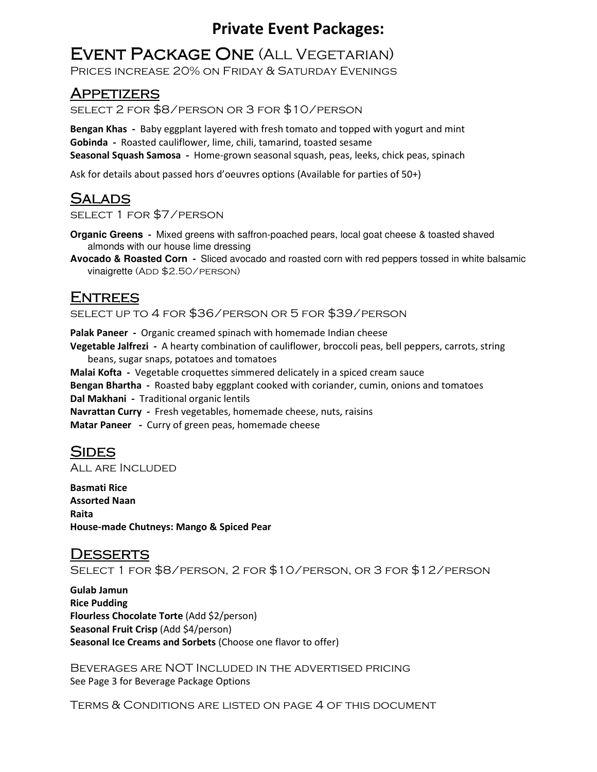## **EVENT PACKAGE ONE (ALL VEGETARIAN)**

Prices increase 20% on Friday & Saturday Evenings

### **APPETIZERS**

select 2 for \$8/person or 3 for \$10/person

**Bengan Khas -** Baby eggplant layered with fresh tomato and topped with yogurt and mint **Gobinda -** Roasted cauliflower, lime, chili, tamarind, toasted sesame **Seasonal Squash Samosa -** Home-grown seasonal squash, peas, leeks, chick peas, spinach

Ask for details about passed hors d'oeuvres options (Available for parties of 50+)

### Salads

select 1 for \$7/person

**Organic Greens -** Mixed greens with saffron-poached pears, local goat cheese & toasted shaved almonds with our house lime dressing

**Avocado & Roasted Corn -** Sliced avocado and roasted corn with red peppers tossed in white balsamic vinaigrette (ADD \$2.50/PERSON)

### **ENTREES**

select up to 4 for \$36/person or 5 for \$39/person

**Palak Paneer -** Organic creamed spinach with homemade Indian cheese **Vegetable Jalfrezi -** A hearty combination of cauliflower, broccoli peas, bell peppers, carrots, string beans, sugar snaps, potatoes and tomatoes **Malai Kofta -** Vegetable croquettes simmered delicately in a spiced cream sauce **Bengan Bhartha -** Roasted baby eggplant cooked with coriander, cumin, onions and tomatoes **Dal Makhani -** Traditional organic lentils **Navrattan Curry -** Fresh vegetables, homemade cheese, nuts, raisins **Matar Paneer -** Curry of green peas, homemade cheese

### **SIDES**

All are Included

**Basmati Rice Assorted Naan Raita House-made Chutneys: Mango & Spiced Pear** 

**DESSERTS** Select 1 for \$8/person, 2 for \$10/person, or 3 for \$12/person

**Gulab Jamun Rice Pudding Flourless Chocolate Torte** (Add \$2/person) **Seasonal Fruit Crisp** (Add \$4/person) **Seasonal Ice Creams and Sorbets** (Choose one flavor to offer)

Beverages are NOT Included in the advertised pricing See Page 3 for Beverage Package Options

Terms & Conditions are listed on page 4 of this document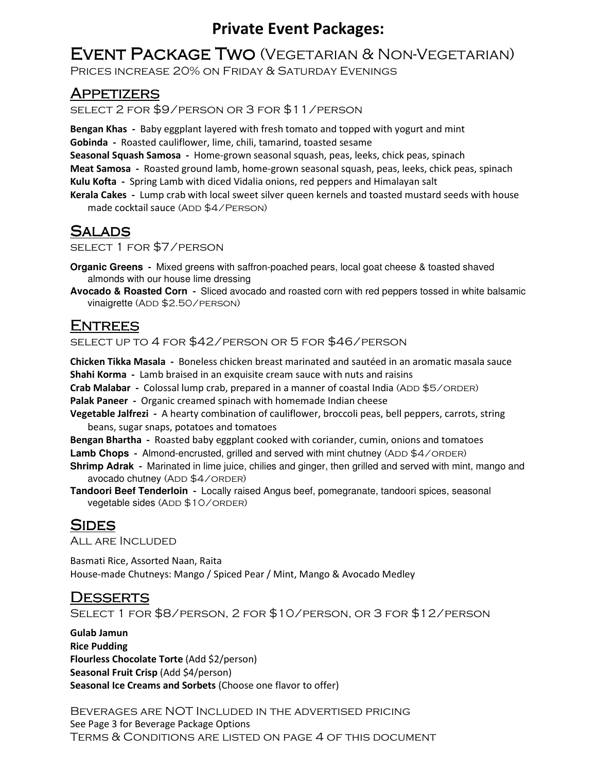## EVENT PACKAGE TWO (VEGETARIAN & NON-VEGETARIAN)

Prices increase 20% on Friday & Saturday Evenings

### **APPETIZERS**

select 2 for \$9/person or 3 for \$11/person

**Bengan Khas -** Baby eggplant layered with fresh tomato and topped with yogurt and mint **Gobinda -** Roasted cauliflower, lime, chili, tamarind, toasted sesame **Seasonal Squash Samosa -** Home-grown seasonal squash, peas, leeks, chick peas, spinach **Meat Samosa -** Roasted ground lamb, home-grown seasonal squash, peas, leeks, chick peas, spinach **Kulu Kofta -** Spring Lamb with diced Vidalia onions, red peppers and Himalayan salt **Kerala Cakes -** Lump crab with local sweet silver queen kernels and toasted mustard seeds with house

made cocktail sauce (ADD \$4/PERSON)

### **SALADS**

select 1 for \$7/person

**Organic Greens -** Mixed greens with saffron-poached pears, local goat cheese & toasted shaved almonds with our house lime dressing

**Avocado & Roasted Corn -** Sliced avocado and roasted corn with red peppers tossed in white balsamic vinaigrette (ADD \$2.50/PERSON)

### **ENTREES**

select up to 4 for \$42/person or 5 for \$46/person

**Chicken Tikka Masala -** Boneless chicken breast marinated and sautéed in an aromatic masala sauce **Shahi Korma -** Lamb braised in an exquisite cream sauce with nuts and raisins

**Crab Malabar** - Colossal lump crab, prepared in a manner of coastal India (ADD \$5/ORDER)

**Palak Paneer -** Organic creamed spinach with homemade Indian cheese

**Vegetable Jalfrezi -** A hearty combination of cauliflower, broccoli peas, bell peppers, carrots, string beans, sugar snaps, potatoes and tomatoes

**Bengan Bhartha -** Roasted baby eggplant cooked with coriander, cumin, onions and tomatoes

**Lamb Chops** - Almond-encrusted, grilled and served with mint chutney (ADD \$4/ORDER)

**Shrimp Adrak -** Marinated in lime juice, chilies and ginger, then grilled and served with mint, mango and avocado chutney (ADD \$4/ORDER)

**Tandoori Beef Tenderloin -** Locally raised Angus beef, pomegranate, tandoori spices, seasonal vegetable sides (ADD \$10/ORDER)

### **SIDES**

All are Included

Basmati Rice, Assorted Naan, Raita House-made Chutneys: Mango / Spiced Pear / Mint, Mango & Avocado Medley

### **DESSERTS**

Select 1 for \$8/person, 2 for \$10/person, or 3 for \$12/person

**Gulab Jamun Rice Pudding Flourless Chocolate Torte** (Add \$2/person) **Seasonal Fruit Crisp** (Add \$4/person) **Seasonal Ice Creams and Sorbets** (Choose one flavor to offer)

Beverages are NOT Included in the advertised pricing See Page 3 for Beverage Package Options Terms & Conditions are listed on page 4 of this document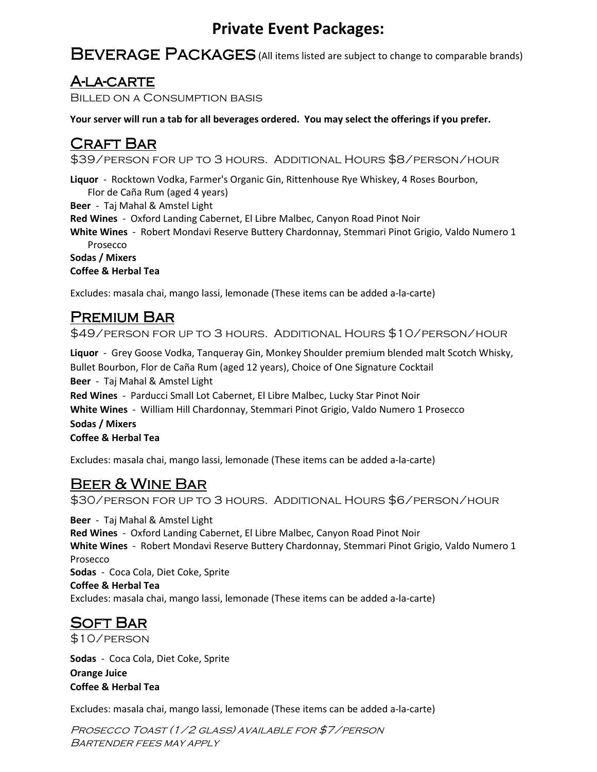BEVERAGE PACKAGES (All items listed are subject to change to comparable brands)

### A-la-carte

Billed on a Consumption basis

**Your server will run a tab for all beverages ordered. You may select the offerings if you prefer.** 

### CRAFT BAR

\$39/person for up to 3 hours. Additional Hours \$8/person/hour

**Liquor** - Rocktown Vodka, Farmer's Organic Gin, Rittenhouse Rye Whiskey, 4 Roses Bourbon,

Flor de Caña Rum (aged 4 years)

**Beer** - Taj Mahal & Amstel Light

**Red Wines** - Oxford Landing Cabernet, El Libre Malbec, Canyon Road Pinot Noir

**White Wines** - Robert Mondavi Reserve Buttery Chardonnay, Stemmari Pinot Grigio, Valdo Numero 1 Prosecco

**Sodas / Mixers Coffee & Herbal Tea**

Excludes: masala chai, mango lassi, lemonade (These items can be added a-la-carte)

### **PREMIUM BAR**

\$49/person for up to 3 hours. Additional Hours \$10/person/hour

**Liquor** - Grey Goose Vodka, Tanqueray Gin, Monkey Shoulder premium blended malt Scotch Whisky, Bullet Bourbon, Flor de Caña Rum (aged 12 years), Choice of One Signature Cocktail **Beer** - Taj Mahal & Amstel Light **Red Wines** - Parducci Small Lot Cabernet, El Libre Malbec, Lucky Star Pinot Noir **White Wines** - William Hill Chardonnay, Stemmari Pinot Grigio, Valdo Numero 1 Prosecco **Sodas / Mixers Coffee & Herbal Tea**

Excludes: masala chai, mango lassi, lemonade (These items can be added a-la-carte)

### Beer & Wine Bar

\$30/person for up to 3 hours. Additional Hours \$6/person/hour

**Beer** - Taj Mahal & Amstel Light **Red Wines** - Oxford Landing Cabernet, El Libre Malbec, Canyon Road Pinot Noir **White Wines** - Robert Mondavi Reserve Buttery Chardonnay, Stemmari Pinot Grigio, Valdo Numero 1 Prosecco **Sodas** - Coca Cola, Diet Coke, Sprite **Coffee & Herbal Tea** Excludes: masala chai, mango lassi, lemonade (These items can be added a-la-carte)

# **SOFT BAR**

\$10/person

**Sodas** - Coca Cola, Diet Coke, Sprite **Orange Juice Coffee & Herbal Tea**

Excludes: masala chai, mango lassi, lemonade (These items can be added a-la-carte)

Prosecco Toast (1/2 glass) available for \$7/person Bartender fees may apply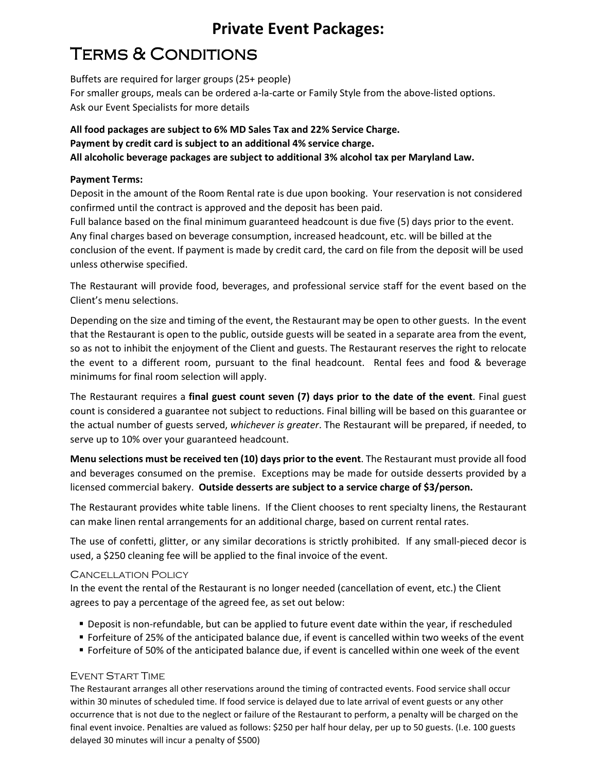# **TERMS & CONDITIONS**

Buffets are required for larger groups (25+ people) For smaller groups, meals can be ordered a-la-carte or Family Style from the above-listed options. Ask our Event Specialists for more details

**All food packages are subject to 6% MD Sales Tax and 22% Service Charge. Payment by credit card is subject to an additional 4% service charge. All alcoholic beverage packages are subject to additional 3% alcohol tax per Maryland Law.** 

#### **Payment Terms:**

Deposit in the amount of the Room Rental rate is due upon booking. Your reservation is not considered confirmed until the contract is approved and the deposit has been paid.

Full balance based on the final minimum guaranteed headcount is due five (5) days prior to the event. Any final charges based on beverage consumption, increased headcount, etc. will be billed at the conclusion of the event. If payment is made by credit card, the card on file from the deposit will be used unless otherwise specified.

The Restaurant will provide food, beverages, and professional service staff for the event based on the Client's menu selections.

Depending on the size and timing of the event, the Restaurant may be open to other guests. In the event that the Restaurant is open to the public, outside guests will be seated in a separate area from the event, so as not to inhibit the enjoyment of the Client and guests. The Restaurant reserves the right to relocate the event to a different room, pursuant to the final headcount. Rental fees and food & beverage minimums for final room selection will apply.

The Restaurant requires a **final guest count seven (7) days prior to the date of the event**. Final guest count is considered a guarantee not subject to reductions. Final billing will be based on this guarantee or the actual number of guests served, *whichever is greater*. The Restaurant will be prepared, if needed, to serve up to 10% over your guaranteed headcount.

**Menu selections must be received ten (10) days prior to the event**. The Restaurant must provide all food and beverages consumed on the premise. Exceptions may be made for outside desserts provided by a licensed commercial bakery. **Outside desserts are subject to a service charge of \$3/person.** 

The Restaurant provides white table linens. If the Client chooses to rent specialty linens, the Restaurant can make linen rental arrangements for an additional charge, based on current rental rates.

The use of confetti, glitter, or any similar decorations is strictly prohibited. If any small-pieced decor is used, a \$250 cleaning fee will be applied to the final invoice of the event.

#### CANCELLATION POLICY

In the event the rental of the Restaurant is no longer needed (cancellation of event, etc.) the Client agrees to pay a percentage of the agreed fee, as set out below:

- Deposit is non-refundable, but can be applied to future event date within the year, if rescheduled
- Forfeiture of 25% of the anticipated balance due, if event is cancelled within two weeks of the event
- Forfeiture of 50% of the anticipated balance due, if event is cancelled within one week of the event

#### EVENT START TIME

The Restaurant arranges all other reservations around the timing of contracted events. Food service shall occur within 30 minutes of scheduled time. If food service is delayed due to late arrival of event guests or any other occurrence that is not due to the neglect or failure of the Restaurant to perform, a penalty will be charged on the final event invoice. Penalties are valued as follows: \$250 per half hour delay, per up to 50 guests. (I.e. 100 guests delayed 30 minutes will incur a penalty of \$500)